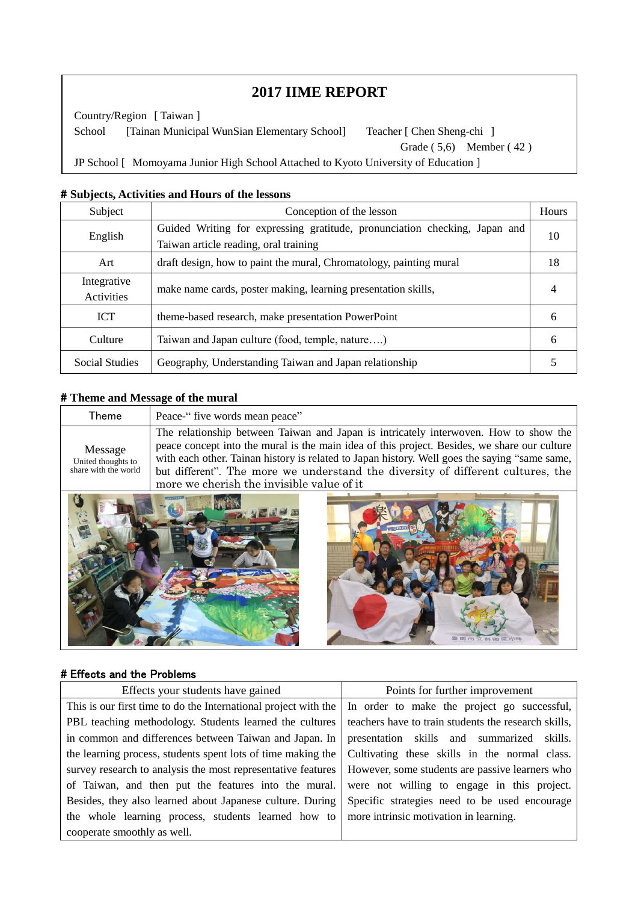# **2017 IIME REPORT**

School [Tainan Municipal WunSian Elementary School] Teacher [Chen Sheng-chi ] Country/Region [ Taiwan ] Grade ( 5,6) Member ( 42 ) JP School [ Momoyama Junior High School Attached to Kyoto University of Education ]

#### # **Subjects, Activities and Hours of the lessons**

Teacher [Keiko Watanabe ]

 $\overline{\phantom{a}}$  $\overline{\phantom{a}}$  $\overline{\phantom{a}}$ 

 $\overline{\phantom{a}}$  $\overline{\phantom{a}}$ i,

| Subject                          | Conception of the lesson                                                                                            |    |  |
|----------------------------------|---------------------------------------------------------------------------------------------------------------------|----|--|
| English                          | Guided Writing for expressing gratitude, pronunciation checking, Japan and<br>Taiwan article reading, oral training | 10 |  |
| Art                              | draft design, how to paint the mural, Chromatology, painting mural                                                  |    |  |
| Integrative<br><b>Activities</b> | make name cards, poster making, learning presentation skills,                                                       |    |  |
| <b>ICT</b>                       | theme-based research, make presentation PowerPoint                                                                  | 6  |  |
| Culture                          | Taiwan and Japan culture (food, temple, nature)                                                                     | 6  |  |
| Social Studies                   | Geography, Understanding Taiwan and Japan relationship                                                              |    |  |

#### # **Theme and Message of the mural**

| Theme                                                 | Peace-" five words mean peace"                                                                                                                                                                                                                                                                                                                                                                                        |
|-------------------------------------------------------|-----------------------------------------------------------------------------------------------------------------------------------------------------------------------------------------------------------------------------------------------------------------------------------------------------------------------------------------------------------------------------------------------------------------------|
| Message<br>United thoughts to<br>share with the world | The relationship between Taiwan and Japan is intricately interwoven. How to show the<br>peace concept into the mural is the main idea of this project. Besides, we share our culture<br>with each other. Tainan history is related to Japan history. Well goes the saying "same same,<br>but different". The more we understand the diversity of different cultures, the<br>more we cherish the invisible value of it |
|                                                       |                                                                                                                                                                                                                                                                                                                                                                                                                       |



#### # Effects and the Problems

| Effects your students have gained                               | Points for further improvement                       |  |  |
|-----------------------------------------------------------------|------------------------------------------------------|--|--|
| This is our first time to do the International project with the | In order to make the project go successful,          |  |  |
| PBL teaching methodology. Students learned the cultures         | teachers have to train students the research skills, |  |  |
| in common and differences between Taiwan and Japan. In          | presentation skills and summarized skills.           |  |  |
| the learning process, students spent lots of time making the    | Cultivating these skills in the normal class.        |  |  |
| survey research to analysis the most representative features    | However, some students are passive learners who      |  |  |
| of Taiwan, and then put the features into the mural.            | were not willing to engage in this project.          |  |  |
| Besides, they also learned about Japanese culture. During       | Specific strategies need to be used encourage        |  |  |
| the whole learning process, students learned how to             | more intrinsic motivation in learning.               |  |  |
| cooperate smoothly as well.                                     |                                                      |  |  |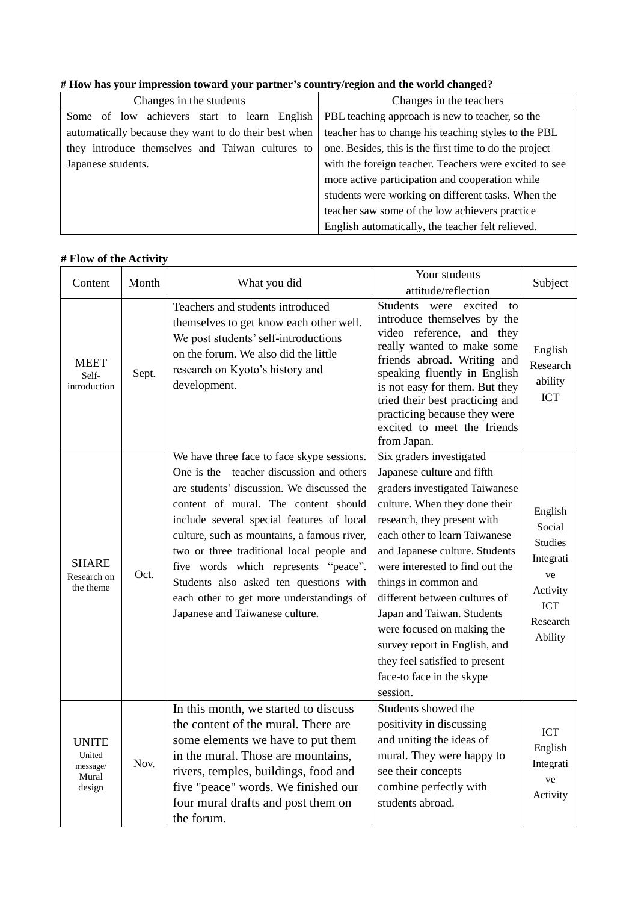|  |  | # How has your impression toward your partner's country/region and the world changed? |  |
|--|--|---------------------------------------------------------------------------------------|--|
|  |  |                                                                                       |  |

| Changes in the students                               | Changes in the teachers                                |
|-------------------------------------------------------|--------------------------------------------------------|
| Some of low achievers start to learn English          | PBL teaching approach is new to teacher, so the        |
| automatically because they want to do their best when | teacher has to change his teaching styles to the PBL   |
| they introduce themselves and Taiwan cultures to      | one. Besides, this is the first time to do the project |
| Japanese students.                                    | with the foreign teacher. Teachers were excited to see |
|                                                       | more active participation and cooperation while        |
|                                                       | students were working on different tasks. When the     |
|                                                       | teacher saw some of the low achievers practice         |
|                                                       | English automatically, the teacher felt relieved.      |

## **# Flow of the Activity**

| Content                                               | Month | What you did                                                                                                                                                                                                                                                                                                                                                                                                                                                                           | Your students<br>attitude/reflection                                                                                                                                                                                                                                                                                                                                                                                                                                                            | Subject                                                                                                 |
|-------------------------------------------------------|-------|----------------------------------------------------------------------------------------------------------------------------------------------------------------------------------------------------------------------------------------------------------------------------------------------------------------------------------------------------------------------------------------------------------------------------------------------------------------------------------------|-------------------------------------------------------------------------------------------------------------------------------------------------------------------------------------------------------------------------------------------------------------------------------------------------------------------------------------------------------------------------------------------------------------------------------------------------------------------------------------------------|---------------------------------------------------------------------------------------------------------|
| <b>MEET</b><br>Self-<br>introduction                  | Sept. | Teachers and students introduced<br>themselves to get know each other well.<br>We post students' self-introductions<br>on the forum. We also did the little<br>research on Kyoto's history and<br>development.                                                                                                                                                                                                                                                                         | were excited<br>Students<br>to<br>introduce themselves by the<br>video reference, and they<br>really wanted to make some<br>friends abroad. Writing and<br>speaking fluently in English<br>is not easy for them. But they<br>tried their best practicing and<br>practicing because they were<br>excited to meet the friends<br>from Japan.                                                                                                                                                      | English<br>Research<br>ability<br><b>ICT</b>                                                            |
| <b>SHARE</b><br>Research on<br>the theme              | Oct.  | We have three face to face skype sessions.<br>One is the teacher discussion and others<br>are students' discussion. We discussed the<br>content of mural. The content should<br>include several special features of local<br>culture, such as mountains, a famous river,<br>two or three traditional local people and<br>five words which represents "peace".<br>Students also asked ten questions with<br>each other to get more understandings of<br>Japanese and Taiwanese culture. | Six graders investigated<br>Japanese culture and fifth<br>graders investigated Taiwanese<br>culture. When they done their<br>research, they present with<br>each other to learn Taiwanese<br>and Japanese culture. Students<br>were interested to find out the<br>things in common and<br>different between cultures of<br>Japan and Taiwan. Students<br>were focused on making the<br>survey report in English, and<br>they feel satisfied to present<br>face-to face in the skype<br>session. | English<br>Social<br><b>Studies</b><br>Integrati<br>ve<br>Activity<br><b>ICT</b><br>Research<br>Ability |
| <b>UNITE</b><br>United<br>message/<br>Mural<br>design | Nov.  | In this month, we started to discuss<br>the content of the mural. There are<br>some elements we have to put them<br>in the mural. Those are mountains,<br>rivers, temples, buildings, food and<br>five "peace" words. We finished our<br>four mural drafts and post them on<br>the forum.                                                                                                                                                                                              | Students showed the<br>positivity in discussing<br>and uniting the ideas of<br>mural. They were happy to<br>see their concepts<br>combine perfectly with<br>students abroad.                                                                                                                                                                                                                                                                                                                    | <b>ICT</b><br>English<br>Integrati<br>ve<br>Activity                                                    |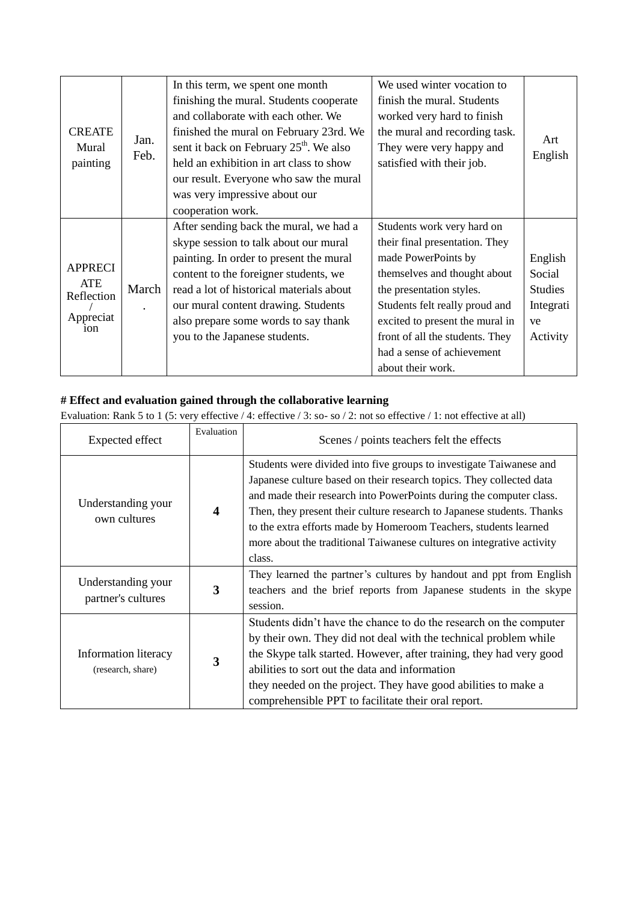| <b>CREATE</b><br>Mural<br>painting                                  | Jan.<br>Feb. | In this term, we spent one month<br>finishing the mural. Students cooperate<br>and collaborate with each other. We<br>finished the mural on February 23rd. We<br>sent it back on February 25 <sup>th</sup> . We also<br>held an exhibition in art class to show<br>our result. Everyone who saw the mural<br>was very impressive about our<br>cooperation work. | We used winter vocation to<br>finish the mural. Students<br>worked very hard to finish<br>the mural and recording task.<br>They were very happy and<br>satisfied with their job.                                                                                                                           | Art<br>English                                                     |
|---------------------------------------------------------------------|--------------|-----------------------------------------------------------------------------------------------------------------------------------------------------------------------------------------------------------------------------------------------------------------------------------------------------------------------------------------------------------------|------------------------------------------------------------------------------------------------------------------------------------------------------------------------------------------------------------------------------------------------------------------------------------------------------------|--------------------------------------------------------------------|
| <b>APPRECI</b><br>ATE<br>Reflection<br>Appreciat<br>10 <sub>n</sub> | March        | After sending back the mural, we had a<br>skype session to talk about our mural<br>painting. In order to present the mural<br>content to the foreigner students, we<br>read a lot of historical materials about<br>our mural content drawing. Students<br>also prepare some words to say thank<br>you to the Japanese students.                                 | Students work very hard on<br>their final presentation. They<br>made PowerPoints by<br>themselves and thought about<br>the presentation styles.<br>Students felt really proud and<br>excited to present the mural in<br>front of all the students. They<br>had a sense of achievement<br>about their work. | English<br>Social<br><b>Studies</b><br>Integrati<br>ve<br>Activity |

### **# Effect and evaluation gained through the collaborative learning**

Evaluation: Rank 5 to 1 (5: very effective / 4: effective / 3: so- so / 2: not so effective / 1: not effective at all)

| Expected effect                           | Evaluation              | Scenes / points teachers felt the effects                                                                                                                                                                                                                                                                                                                                                                                                           |
|-------------------------------------------|-------------------------|-----------------------------------------------------------------------------------------------------------------------------------------------------------------------------------------------------------------------------------------------------------------------------------------------------------------------------------------------------------------------------------------------------------------------------------------------------|
| Understanding your<br>own cultures        | $\overline{\mathbf{4}}$ | Students were divided into five groups to investigate Taiwanese and<br>Japanese culture based on their research topics. They collected data<br>and made their research into PowerPoints during the computer class.<br>Then, they present their culture research to Japanese students. Thanks<br>to the extra efforts made by Homeroom Teachers, students learned<br>more about the traditional Taiwanese cultures on integrative activity<br>class. |
| Understanding your<br>partner's cultures  | 3                       | They learned the partner's cultures by handout and ppt from English<br>teachers and the brief reports from Japanese students in the skype<br>session.                                                                                                                                                                                                                                                                                               |
| Information literacy<br>(research, share) | 3                       | Students didn't have the chance to do the research on the computer<br>by their own. They did not deal with the technical problem while<br>the Skype talk started. However, after training, they had very good<br>abilities to sort out the data and information<br>they needed on the project. They have good abilities to make a<br>comprehensible PPT to facilitate their oral report.                                                            |